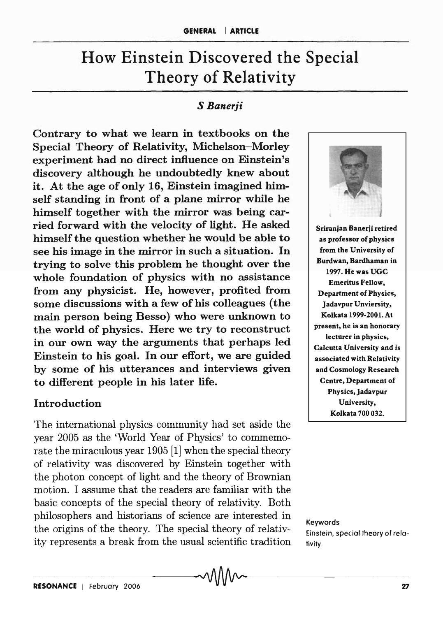# How Einstein Discovered the Special Theory of Relativity

#### *S Banerji*

Contrary to what we learn in textbooks on the Special Theory of Relativity, Michelson-Morley experiment had no direct influence on Einstein's discovery although he undoubtedly knew about it. At the age of only 16, Einstein imagined himself standing in front of a plane mirror while he himself together with the mirror was being carried forward with the velocity of light. He asked himself the question whether he would be able to see his image in the mirror in such a situation. In trying to solve this problem he thought over the whole foundation of physics with no assistance from any physicist. He, however, profited from some discussions with a few of his colleagues (the main person being Besso) who were unknown to the world of physics. Here we try to reconstruct in our own way the arguments that perhaps led Einstein to his goal. In our effort, we are guided by some of his utterances and interviews given to different people in his later life.

## Introduction

The international physics community had set aside the year 2005 as the 'World Year of Physics' to commemorate the miraculous year 1905 [1) when the special theory of relativity was discovered by Einstein together with the photon concept of light and the theory of Brownian motion. I assume that the readers are familiar with the basic concepts of the special theory of relativity. Both philosophers and historians of science are interested in the origins of the theory. The special theory of relativity represents a break from the usual scientific tradition



Keywords Einstein, special theory of relativity.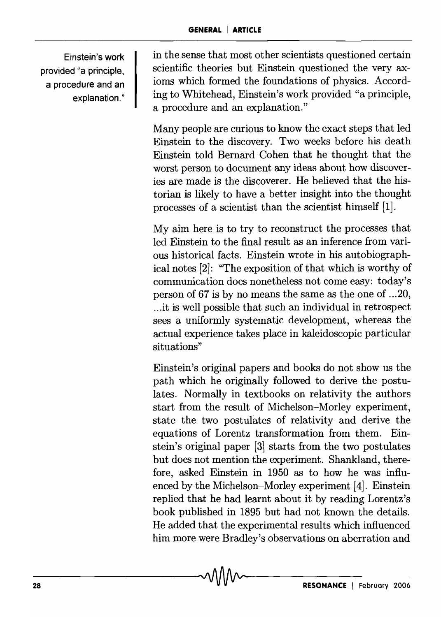Einstein's work provided "a principle, a procedure and an explanation."

in the sense that most other scientists questioned certain scientific theories but Einstein questioned the very axioms which formed the foundations of physics. According to Whitehead, Einstein's work provided "a principle, a procedure and an explanation."

Many people are curious to know the exact steps that led Einstein to the discovery. Two weeks before his death Einstein told Bernard Cohen that he thought that the worst person to document any ideas about how discoveries are made is the discoverer. He believed that the historian is likely to have a better insight into the thought processes of a scientist than the scientist himself [1].

My aim here is to try to reconstruct the processes that led Einstein to the final result as an inference from various historical facts. Einstein wrote in his autobiographical notes [2]: "The exposition of that which is worthy of communication does nonetheless not come easy: today's person of 67 is by no means the same as the one of ... 20, .. .it is well possible that such an individual in retrospect sees a uniformly systematic development, whereas the actual experience takes place in kaleidoscopic particular situations"

Einstein's original papers and books do not show us the path which he originally followed to derive the postulates. Normally in textbooks on relativity the authors start from the result of Michelson-Morley experiment, state the two postulates of relativity and derive the equations of Lorentz transformation from them. Einstein's original paper (3] starts from the two postulates but does not mention the experiment. Shankland, therefore, asked Einstein in 1950 as to how he was influenced by the Michelson-Morley experiment [4]. Einstein replied that he had learnt about it by reading Lorentz's book published in 1895 but had not known the details. He added that the experimental results which influenced him more were Bradley's observations on aberration and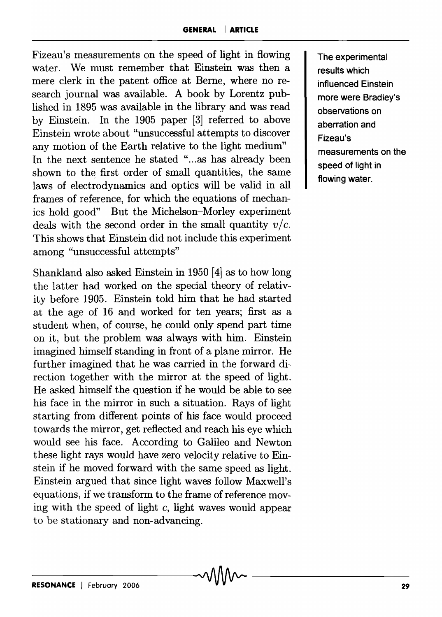Fizeau's measurements on the speed of light in flowing water. We must remember that Einstein was then a mere clerk in the patent office at Berne, where no research journal was available. A book by Lorentz published in 1895 was available in the library and was read by Einstein. In the 1905 paper [3] referred to above Einstein wrote about "unsuccessful attempts to discover any motion of the Earth relative to the light medium" In the next sentence he stated "...as has already been shown to the first order of small quantities, the same laws of electrodynamics and optics will be valid in all frames of reference, for which the equations of mechanics hold good" But the Michelson-Morley experiment deals with the second order in the small quantity  $v/c$ . This shows that Einstein did not include this experiment among "unsuccessful attempts"

Shankland also asked Einstein in 1950 [4] as to how long the latter had worked on the special theory of relativity before 1905. Einstein told him that he had started at the age of 16 and worked for ten years; first as a student when, of course, he could only spend part time on it, but the problem was always with him. Einstein imagined himself standing in front of a plane mirror. He further imagined that he was carried in the forward direction together with the mirror at the speed of light. He asked himself the question if he would be able to see his face in the mirror in such a situation. Rays of light starting from different points of his face would proceed towards the mirror, get reflected and reach his eye which would see his face. According to Galileo and Newton these light rays would have zero velocity relative to Einstein if he moved forward with the same speed as light. Einstein argued that since light waves follow Maxwell's equations, if we transform to the frame of reference moving with the speed of light  $c$ , light waves would appear to be stationary and non-advancing.

The experimental results which influenced Einstein more were Bradley's observations on aberration and Fjzeau's measurements on the speed of light in flowing water.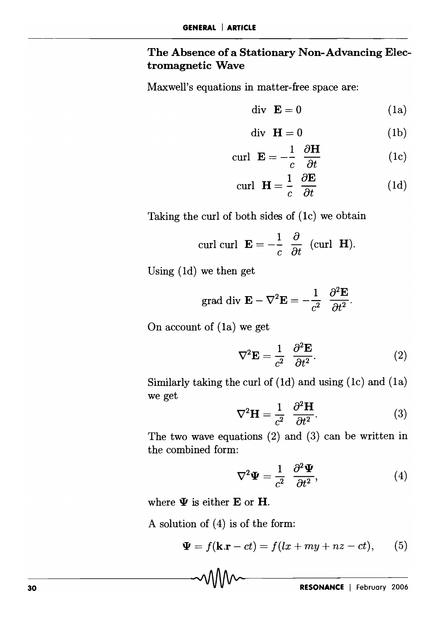# The Absence of a Stationary Non-Advancing Electromagnetic Wave

Maxwell's equations in matter-free space are:

$$
\text{div }\mathbf{E} = 0 \tag{1a}
$$

$$
\text{div }\mathbf{H} = 0 \tag{1b}
$$

$$
\operatorname{curl} \mathbf{E} = -\frac{1}{c} \frac{\partial \mathbf{H}}{\partial t} \tag{1c}
$$

$$
\operatorname{curl} \ \mathbf{H} = \frac{1}{c} \ \frac{\partial \mathbf{E}}{\partial t} \tag{1d}
$$

Taking the curl of both sides of (Ic) we obtain

curl curl 
$$
\mathbf{E} = -\frac{1}{c} \frac{\partial}{\partial t}
$$
 (curl **H**).

Using (Id) we then get

grad div 
$$
\mathbf{E} - \nabla^2 \mathbf{E} = -\frac{1}{c^2} \frac{\partial^2 \mathbf{E}}{\partial t^2}
$$
.

On account of (Ia) we get

$$
\nabla^2 \mathbf{E} = \frac{1}{c^2} \frac{\partial^2 \mathbf{E}}{\partial t^2}.
$$
 (2)

Similarly taking the curl of (Id) and using (Ic) and (Ia) we get

$$
\nabla^2 \mathbf{H} = \frac{1}{c^2} \frac{\partial^2 \mathbf{H}}{\partial t^2}.
$$
 (3)

The two wave equations (2) and (3) can be written in the combined form:

$$
\nabla^2 \mathbf{\Psi} = \frac{1}{c^2} \frac{\partial^2 \mathbf{\Psi}}{\partial t^2},\tag{4}
$$

where  $\Psi$  is either E or H.

A solution of (4) is of the form:

$$
\mathbf{\Psi} = f(\mathbf{k}.\mathbf{r} - ct) = f(lx + my + nz - ct), \qquad (5)
$$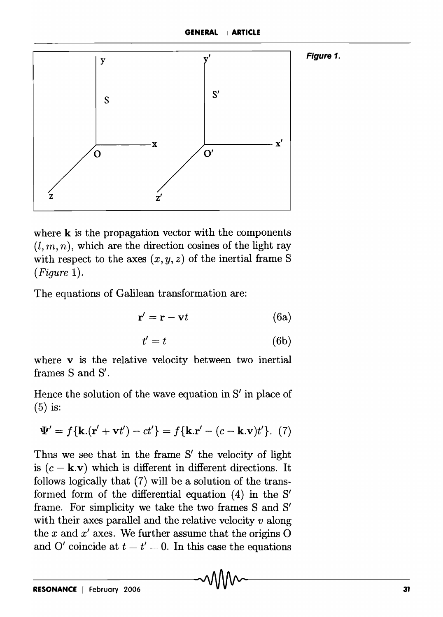

where  $k$  is the propagation vector with the components  $(l, m, n)$ , which are the direction cosines of the light ray with respect to the axes  $(x, y, z)$  of the inertial frame S *(Figure 1).* 

The equations of Galilean transformation are:

$$
\mathbf{r}' = \mathbf{r} - \mathbf{v}t \tag{6a}
$$

$$
t'=t \tag{6b}
$$

where  $\bf{v}$  is the relative velocity between two inertial frames 8 and 8'.

Hence the solution of the wave equation in 8' in place of (5) is:

$$
\Psi' = f\{\mathbf{k}.(\mathbf{r}' + \mathbf{v}t') - ct'\} = f\{\mathbf{k}.\mathbf{r}' - (c - \mathbf{k}.\mathbf{v})t'\}.
$$
 (7)

Thus we see that in the frame  $S'$  the velocity of light is  $(c - \mathbf{k} \cdot \mathbf{v})$  which is different in different directions. It follows logically that (7) will be a solution of the transformed form of the differential equation (4) in the 8' frame. For simplicity we take the two frames 8 and 8' with their axes parallel and the relative velocity *v* along the  $x$  and  $x'$  axes. We further assume that the origins  $O$ and O' coincide at  $t = t' = 0$ . In this case the equations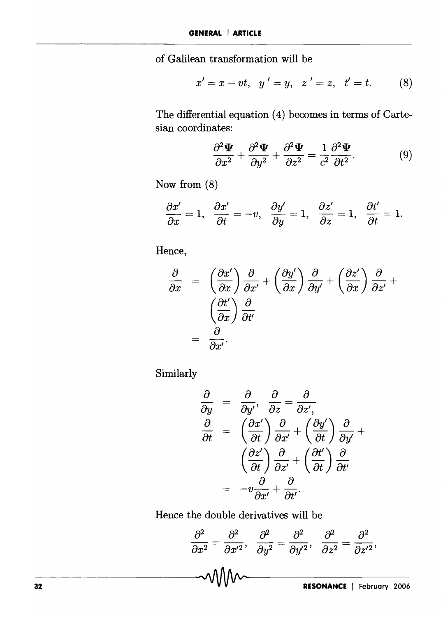of Galilean transformation will be  

$$
x' = x - vt, y' = y, z' = z, t' = t.
$$
 (8)

The differential equation (4) becomes in terms of Cartesian coordinates:

$$
\frac{\partial^2 \mathbf{\Psi}}{\partial x^2} + \frac{\partial^2 \mathbf{\Psi}}{\partial y^2} + \frac{\partial^2 \mathbf{\Psi}}{\partial z^2} = \frac{1}{c^2} \frac{\partial^2 \mathbf{\Psi}}{\partial t^2}.
$$
 (9)

Now from (8)

$$
\frac{\partial x'}{\partial x}=1,\;\;\frac{\partial x'}{\partial t}=-v,\;\;\frac{\partial y'}{\partial y}=1,\;\;\frac{\partial z'}{\partial z}=1,\;\;\frac{\partial t'}{\partial t}=1.
$$

Hence,

$$
\frac{\partial}{\partial x} = \left(\frac{\partial x'}{\partial x}\right) \frac{\partial}{\partial x'} + \left(\frac{\partial y'}{\partial x}\right) \frac{\partial}{\partial y'} + \left(\frac{\partial z'}{\partial x}\right) \frac{\partial}{\partial z'} + \left(\frac{\partial t'}{\partial x}\right) \frac{\partial}{\partial t'} = \frac{\partial}{\partial x'}.
$$

Similarly

$$
\frac{\partial}{\partial y} = \frac{\partial}{\partial y'}, \quad \frac{\partial}{\partial z} = \frac{\partial}{\partial z'}, \n\frac{\partial}{\partial t} = \left(\frac{\partial x'}{\partial t}\right) \frac{\partial}{\partial x'} + \left(\frac{\partial y'}{\partial t}\right) \frac{\partial}{\partial y'} + \n\left(\frac{\partial z'}{\partial t}\right) \frac{\partial}{\partial z'} + \left(\frac{\partial t'}{\partial t}\right) \frac{\partial}{\partial t'} \n= -v \frac{\partial}{\partial x'} + \frac{\partial}{\partial t'}.
$$

Hence the double derivatives will be

$$
\frac{\partial^2}{\partial x^2} = \frac{\partial^2}{\partial x'^2}, \quad \frac{\partial^2}{\partial y^2} = \frac{\partial^2}{\partial y'^2}, \quad \frac{\partial^2}{\partial z^2} = \frac{\partial^2}{\partial z'^2},
$$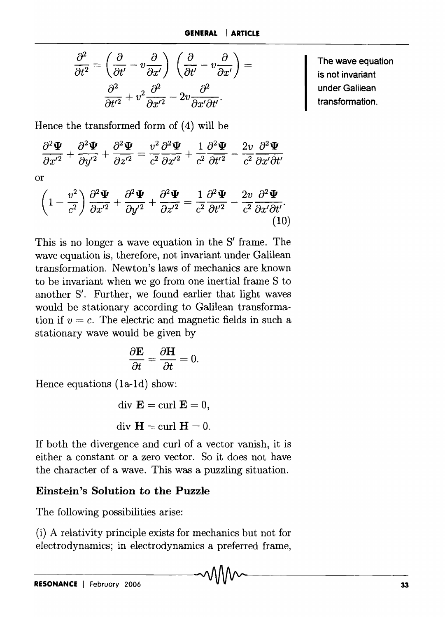$$
\frac{\partial^2}{\partial t^2} = \left(\frac{\partial}{\partial t'} - v\frac{\partial}{\partial x'}\right) \left(\frac{\partial}{\partial t'} - v\frac{\partial}{\partial x'}\right) = \frac{\partial^2}{\partial t'^2} + v^2 \frac{\partial^2}{\partial x'^2} - 2v \frac{\partial^2}{\partial x' \partial t'}.
$$

Hence the transformed form of (4) will be  
\n
$$
\frac{\partial^2 \mathbf{\Psi}}{\partial x'^2} + \frac{\partial^2 \mathbf{\Psi}}{\partial y'^2} + \frac{\partial^2 \mathbf{\Psi}}{\partial z'^2} = \frac{v^2}{c^2} \frac{\partial^2 \mathbf{\Psi}}{\partial x'^2} + \frac{1}{c^2} \frac{\partial^2 \mathbf{\Psi}}{\partial t'^2} - \frac{2v}{c^2} \frac{\partial^2 \mathbf{\Psi}}{\partial x' \partial t'}
$$

or

$$
\left(1 - \frac{v^2}{c^2}\right) \frac{\partial^2 \Psi}{\partial x'^2} + \frac{\partial^2 \Psi}{\partial y'^2} + \frac{\partial^2 \Psi}{\partial z'^2} = \frac{1}{c^2} \frac{\partial^2 \Psi}{\partial t'^2} - \frac{2v}{c^2} \frac{\partial^2 \Psi}{\partial x' \partial t'}.
$$
\n(10)

This is no longer a wave equation in the  $S'$  frame. The wave equation is, therefore, not invariant under Galilean transformation. Newton's laws of mechanics are known to be invariant when we go from one inertial frame S to another S'. Further, we found earlier that light waves would be stationary according to Galilean transformation if  $v = c$ . The electric and magnetic fields in such a stationary wave would be given by

$$
\frac{\partial \mathbf{E}}{\partial t} = \frac{\partial \mathbf{H}}{\partial t} = 0.
$$

Hence equations (1a-1d) show:

div 
$$
\mathbf{E} = \text{curl } \mathbf{E} = 0
$$
,  
div  $\mathbf{H} = \text{curl } \mathbf{H} = 0$ .

If both the divergence and curl of a vector vanish, it is either a constant or a zero vector. So it does not have the character of a wave. This was a puzzling situation.

## Einstein's Solution to the Puzzle

The following possibilities arise:

(i) A relativity principle exists for mechanics but not for electrodynamics; in electrodynamics a preferred frame, The wave equation is not invariant under Galilean transformation.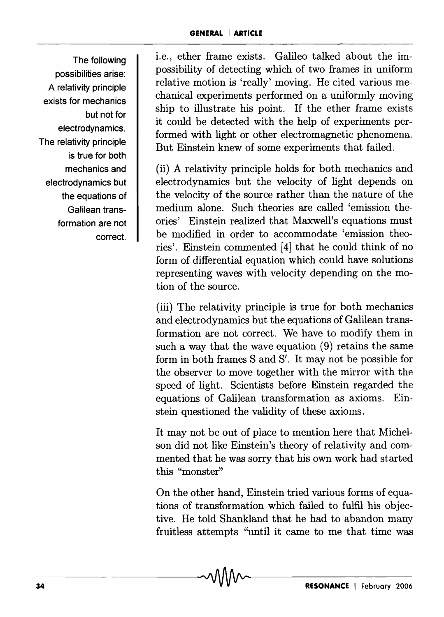The following possibilities arise: A relativity principle exists for mechanics but not for electrodynamics. The relativity principle is true for both mechanics and electrodynamics but the equations of Galilean transformation are not correct.

i.e., ether frame exists. Galileo talked about the impossibility of detecting which of two frames in uniform relative motion is 'really' moving. He cited various mechanical experiments performed on a uniformly moving ship to illustrate his point. If the ether frame exists it could be detected with the help of experiments performed with light or other electromagnetic phenomena. But Einstein knew of some experiments that failed.

(ii) A relativity principle holds for both mechanics and electrodynamics but the velocity of light depends on the velocity of the source rather than the nature of the medium alone. Such theories are called 'emission theories' Einstein realized that Maxwell's equations must be modified in order to accommodate 'emission theories'. Einstein commented [4] that he could think of no form of differential equation which could have solutions representing waves with velocity depending on the motion of the source.

(iii) The relativity principle is true for both mechanics and electrodynamics but the equations of Galilean transformation are not correct. We have to modify them in such a way that the wave equation (9) retains the same form in both frames Sand S'. It may not be possible for the observer to move together with the mirror with the speed of light. Scientists before Einstein regarded the equations of Galilean transformation as axioms. Einstein questioned the validity of these axioms.

It may not be out of place to mention here that Michelson did not like Einstein's theory of relativity and commented that he was sorry that his own work had started this "monster"

On the other hand, Einstein tried various forms of equations of transformation which failed to fulfil his objective. He told Shankland that he had to abandon many fruitless attempts "until it came to me that time was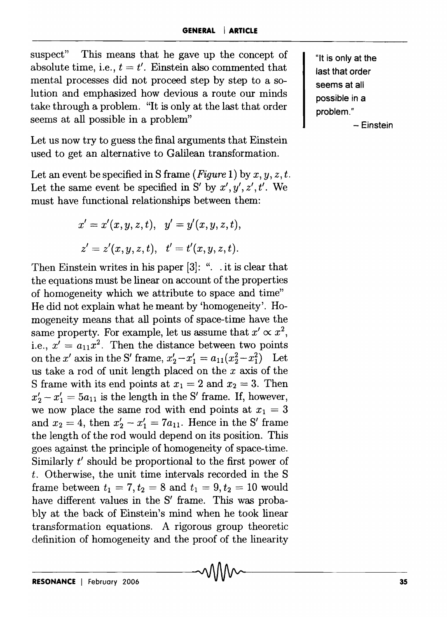suspect" This means that he gave up the concept of absolute time, i.e.,  $t = t'$ . Einstein also commented that mental processes did not proceed step by step to a solution and emphasized how devious a route our minds take through a problem. "It is only at the last that order seems at all possible in a problem"

Let us now try to guess the final arguments that Einstein used to get an alternative to Galilean transformation.

Let an event be specified in S frame  $(Figure 1)$  by  $x, y, z, t$ . Let the same event be specified in S' by  $x', y', z', t'$ . We must have functional relationships between them:

$$
x' = x'(x, y, z, t), \quad y' = y'(x, y, z, t),
$$
  

$$
z' = z'(x, y, z, t), \quad t' = t'(x, y, z, t).
$$

Then Einstein writes in his paper [3]: ". . it is clear that the equations must be linear on account of the properties of homogeneity which we attribute to space and time" He did not explain what he meant by 'homogeneity'. Homogeneity means that all points of space-time have the same property. For example, let us assume that  $x' \propto x^2$ , i.e.,  $x' = a_{11}x^2$ . Then the distance between two points on the *x'* axis in the S' frame,  $x'_2 - x'_1 = a_{11}(x_2^2 - x_1^2)$  Let us take a rod of unit length placed on the *x* axis of the S frame with its end points at  $x_1 = 2$  and  $x_2 = 3$ . Then  $x'_2 - x'_1 = 5a_{11}$  is the length in the S' frame. If, however, we now place the same rod with end points at  $x_1 = 3$ and  $x_2 = 4$ , then  $x'_2 - x'_1 = 7a_{11}$ . Hence in the S' frame the length of the rod would depend on its position. This goes against the principle of homogeneity of space-time. Similarly *t'* should be proportional to the first power of *t.* Otherwise, the unit time intervals recorded in the S frame between  $t_1 = 7, t_2 = 8$  and  $t_1 = 9, t_2 = 10$  would have different values in the S' frame. This was probablyat the back of Einstein's mind when he took linear transformation equations. A rigorous group theoretic definition of homogeneity and the proof of the linearity

"It is only at the last that order seems at all possible in a problem."

- Einstein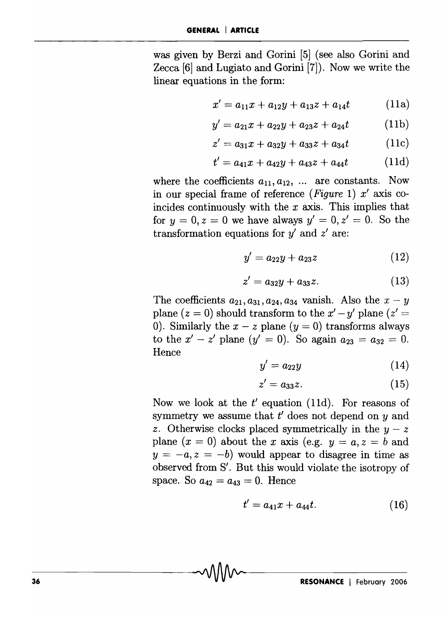was given by Berzi and Gorini [5] (see also Gorini and Zecca [6] and Lugiato and Gorini [7]). Now we write the linear equations in the form:

$$
x' = a_{11}x + a_{12}y + a_{13}z + a_{14}t \qquad (11a)
$$

$$
y' = a_{21}x + a_{22}y + a_{23}z + a_{24}t \qquad (11b)
$$

$$
z' = a_{31}x + a_{32}y + a_{33}z + a_{34}t \qquad (11c)
$$

$$
t' = a_{41}x + a_{42}y + a_{43}z + a_{44}t \qquad (11d)
$$

where the coefficients  $a_{11}, a_{12}, \ldots$  are constants. Now in our special frame of reference *(Figure* 1) *x'* axis coincides continuously with the *x* axis. This implies that for  $y = 0, z = 0$  we have always  $y' = 0, z' = 0$ . So the transformation equations for *y'* and *z'* are:

$$
y' = a_{22}y + a_{23}z \tag{12}
$$

$$
z' = a_{32}y + a_{33}z.\t(13)
$$

The coefficients  $a_{21}, a_{31}, a_{24}, a_{34}$  vanish. Also the  $x-y$ plane  $(z = 0)$  should transform to the  $x' - y'$  plane  $(z' = 0)$ 0). Similarly the  $x - z$  plane  $(y = 0)$  transforms always to the  $x' - z'$  plane  $(y' = 0)$ . So again  $a_{23} = a_{32} = 0$ . Hence

$$
y' = a_{22}y \tag{14}
$$

$$
z' = a_{33}z.\tag{15}
$$

Now we look at the  $t'$  equation (11d). For reasons of symmetry we assume that  $t'$  does not depend on  $y$  and z. Otherwise clocks placed symmetrically in the  $y - z$ plane  $(x = 0)$  about the *x* axis (e.g.  $y = a, z = b$  and  $y = -a, z = -b$ ) would appear to disagree in time as observed from S'. But this would violate the isotropy of space. So  $a_{42} = a_{43} = 0$ . Hence

$$
t' = a_{41}x + a_{44}t. \tag{16}
$$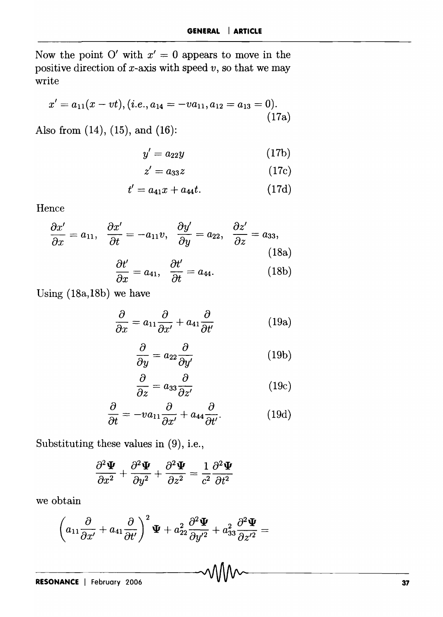Now the point O' with  $x' = 0$  appears to move in the positive direction of x-axis with speed *v,* so that we may write

$$
x' = a_{11}(x - vt), (i.e., a_{14} = -va_{11}, a_{12} = a_{13} = 0).
$$
\n(17a)

Also from (14), (15), and (16):

$$
y' = a_{22}y \tag{17b}
$$

$$
z' = a_{33}z \tag{17c}
$$

$$
t' = a_{41}x + a_{44}t. \t\t(17d)
$$

Hence

$$
\frac{\partial x'}{\partial x} = a_{11}, \quad \frac{\partial x'}{\partial t} = -a_{11}v, \quad \frac{\partial y'}{\partial y} = a_{22}, \quad \frac{\partial z'}{\partial z} = a_{33},
$$
\n
$$
\frac{\partial t'}{\partial x} = a_{41}, \quad \frac{\partial t'}{\partial t} = a_{44}.
$$
\n(18b)

Using (18a,18b) we have

$$
\frac{\partial}{\partial x} = a_{11} \frac{\partial}{\partial x'} + a_{41} \frac{\partial}{\partial t'} \tag{19a}
$$

$$
\frac{\partial}{\partial y} = a_{22} \frac{\partial}{\partial y'} \tag{19b}
$$

$$
\frac{\partial}{\partial z} = a_{33} \frac{\partial}{\partial z'} \tag{19c}
$$

$$
\frac{\partial}{\partial t} = -v a_{11} \frac{\partial}{\partial x'} + a_{44} \frac{\partial}{\partial t'}.
$$
 (19d)

Substituting these values in (9), i.e.,

$$
\frac{\partial^2 \mathbf{\Psi}}{\partial x^2} + \frac{\partial^2 \mathbf{\Psi}}{\partial y^2} + \frac{\partial^2 \mathbf{\Psi}}{\partial z^2} = \frac{1}{c^2} \frac{\partial^2 \mathbf{\Psi}}{\partial t^2}
$$

we obtain

$$
\left(a_{11}\frac{\partial}{\partial x'}+a_{41}\frac{\partial}{\partial t'}\right)^2\Psi+a_{22}^2\frac{\partial^2\Psi}{\partial y'^2}+a_{33}^2\frac{\partial^2\Psi}{\partial z'^2}=
$$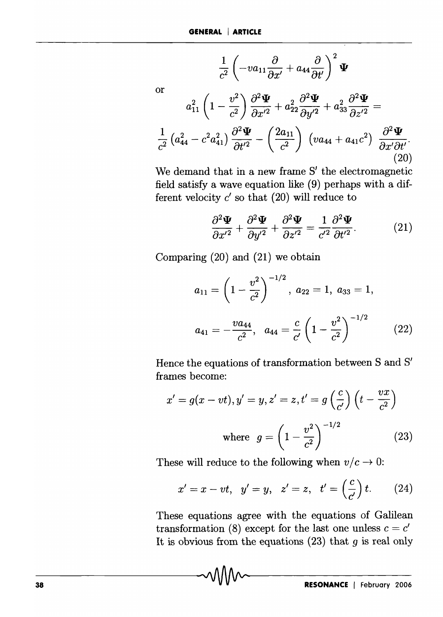$$
\frac{1}{c^2} \left( -va_{11} \frac{\partial}{\partial x'} + a_{44} \frac{\partial}{\partial t'} \right)^2 \mathbf{\Psi}
$$
\nor

\n
$$
a_{11}^2 \left( 1 - \frac{v^2}{c^2} \right) \frac{\partial^2 \mathbf{\Psi}}{\partial x'^2} + a_{22}^2 \frac{\partial^2 \mathbf{\Psi}}{\partial y'^2} + a_{33}^2 \frac{\partial^2 \mathbf{\Psi}}{\partial z'^2} =
$$
\n
$$
\frac{1}{c^2} \left( a_{44}^2 - c^2 a_{41}^2 \right) \frac{\partial^2 \mathbf{\Psi}}{\partial t'^2} - \left( \frac{2a_{11}}{c^2} \right) \left( va_{44} + a_{41} c^2 \right) \frac{\partial^2 \mathbf{\Psi}}{\partial x' \partial t'}.
$$
\n(20)

We demand that in a new frame S' the electromagnetic field satisfy a wave equation like (9) perhaps with a different velocity  $c'$  so that  $(20)$  will reduce to

$$
\frac{\partial^2 \mathbf{\Psi}}{\partial x^{\prime 2}} + \frac{\partial^2 \mathbf{\Psi}}{\partial y^{\prime 2}} + \frac{\partial^2 \mathbf{\Psi}}{\partial z^{\prime 2}} = \frac{1}{c^{\prime 2}} \frac{\partial^2 \mathbf{\Psi}}{\partial t^{\prime 2}}.
$$
 (21)

Comparing (20) and (21) we obtain

$$
a_{11} = \left(1 - \frac{v^2}{c^2}\right)^{-1/2}, \ a_{22} = 1, \ a_{33} = 1,
$$
  

$$
a_{41} = -\frac{va_{44}}{c^2}, \ \ a_{44} = \frac{c}{c'} \left(1 - \frac{v^2}{c^2}\right)^{-1/2} \qquad (22)
$$

Hence the equations of transformation between S and S' frames become:

$$
x' = g(x - vt), y' = y, z' = z, t' = g\left(\frac{c}{c'}\right)\left(t - \frac{vx}{c^2}\right)
$$
  
where 
$$
g = \left(1 - \frac{v^2}{c^2}\right)^{-1/2}
$$
 (23)

These will reduce to the following when  $v/c \rightarrow 0$ :

$$
x' = x - vt
$$
,  $y' = y$ ,  $z' = z$ ,  $t' = \left(\frac{c}{c'}\right)t$ . (24)

These equations agree with the equations of Galilean transformation (8) except for the last one unless  $c = c'$ It is obvious from the equations (23) that *9* is real only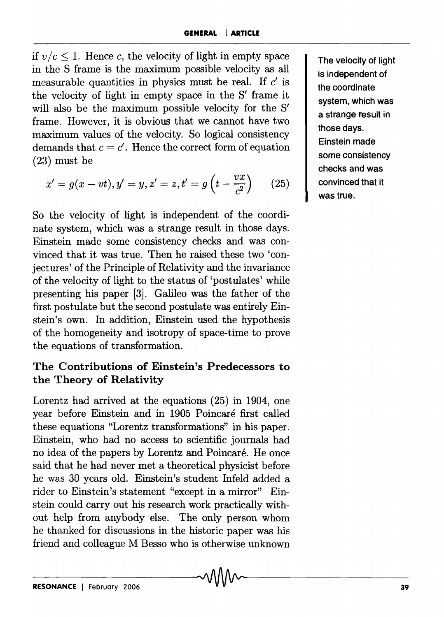if  $v/c \leq 1$ . Hence c, the velocity of light in empty space in the S frame is the maximum possible velocity as all measurable quantities in physics must be real. If  $c'$  is the velocity of light in empty space in the S' frame it will also be the maximum possible velocity for the S' frame. However, it is obvious that we cannot have two maximum values of the velocity. So logical consistency demands that  $c = c'$ . Hence the correct form of equation (23) must be

$$
x' = g(x - vt), y' = y, z' = z, t' = g\left(t - \frac{vx}{c^2}\right) \qquad (25)
$$

So the velocity of light is independent of the coordinate system, which was a strange result in those days. Einstein made some consistency checks and was convinced that it was true. Then he raised these two 'conjectures' of the Principle of Relativity and the invariance of the velocity of light to the status of 'postulates' while presenting his paper [3]. Galileo was the father of the first postulate but the second postulate was entirely Einstein's own. In addition, Einstein used the hypothesis of the homogeneity and isotropy of space-time to prove the equations of transformation.

# The Contributions of Einstein's Predecessors to the Theory of Relativity

Lorentz had arrived at the equations (25) in 1904, one year before Einstein and in 1905 Poincare first called these equations "Lorentz transformations" in his paper. Einstein, who had no access to scientific journals had no idea of the papers by Lorentz and Poincare. He once said that he had never met a theoretical physicist before he was 30 years old. Einstein's student Infeld added a rider to Einstein's statement "except in a mirror" Einstein could carry out his research work practically without help from anybody else. The only person whom he thanked for discussions in the historic paper was his friend and colleague M Besso who is otherwise unknown

The velocity of light is independent of the coordinate system, which was a strange result in those days. Einstein made some consistency checks and was convinced that it was true.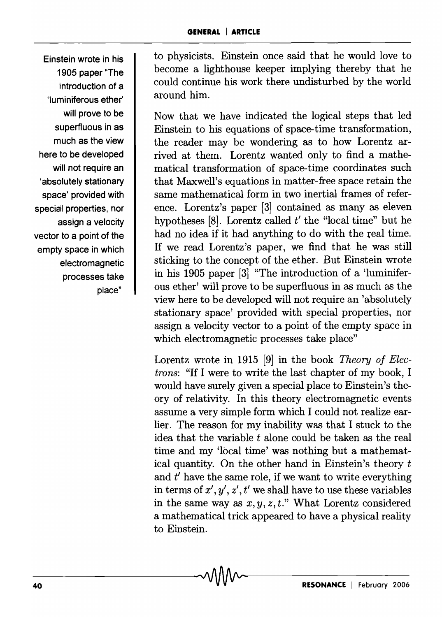Einstein wrote in his 1905 paper "The introduction of a 'Iuminiferous ether' will prove to be superfluous in as much as the view here to be developed will not require an 'absolutely stationary space' provided with special properties, nor assign a velocity vector to a point of the empty space in which electromagnetic processes take place"

to physicists. Einstein once said that he would love to become a lighthouse keeper implying thereby that he could continue his work there undisturbed by the world around him.

Now that we have indicated the logical steps that led Einstein to his equations of space-time transformation, the reader may be wondering as to how Lorentz arrived at them. Lorentz wanted only to find a mathematical transformation of space-time coordinates such that Maxwell's equations in matter-free space retain the same mathematical form in two inertial frames of reference. Lorentz's paper [3] contained as many as eleven hypotheses [8]. Lorentz called *t'* the "local time" but he had no idea if it had anything to do with the real time. If we read Lorentz's paper, we find that he was still sticking to the concept of the ether. But Einstein wrote in his 1905 paper [3] "The introduction of a 'luminiferous ether' will prove to be superfluous in as much as the view here to be developed will not require an 'absolutely stationary space' provided with special properties, nor assign a velocity vector to a point of the empty space in which electromagnetic processes take place"

Lorentz wrote in 1915 [9] in the book *Theory of Electrons:* "If I were to write the last chapter of my book, I would have surely given a special place to Einstein's theory of relativity. In this theory electromagnetic events assume a very simple form which I could not realize earlier. The reason for my inability was that I stuck to the idea that the variable *t* alone could be taken as the real time and my 'local time' was nothing but a mathematical quantity. On the other hand in Einstein's theory  $t$ and *t'* have the same role, if we want to write everything in terms of  $x', y', z', t'$  we shall have to use these variables in the same way as  $x, y, z, t$ ." What Lorentz considered a mathematical trick appeared to have a physical reality to Einstein.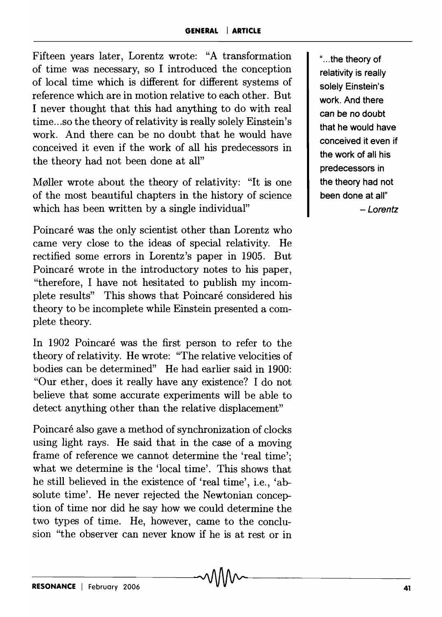Fifteen years later, Lorentz wrote: "A transformation of time was necessary, so I introduced the conception of local time which is different for different systems of reference which are in motion relative to each other. But I never thought that this had anything to do with real time ... so the theory of relativity is really solely Einstein's work. And there can be no doubt that he would have conceived it even if the work of all his predecessors in the theory had not been done at all"

M0ller wrote about the theory of relativity: "It is one of the most beautiful chapters in the history of science which has been written by a single individual"

Poincaré was the only scientist other than Lorentz who came very close to the ideas of special relativity. He rectified some errors in Lorentz's paper in 1905. But Poincaré wrote in the introductory notes to his paper, "therefore, I have not hesitated to publish my incomplete results" This shows that Poincaré considered his theory to be incomplete while Einstein presented a complete theory.

In 1902 Poincaré was the first person to refer to the theory of relativity. He wrote: "The relative velocities of bodies can be determined" He had earlier said in 1900: "Our ether, does it really have any existence? I do not believe that some accurate experiments will be able to detect anything other than the relative displacement"

Poincaré also gave a method of synchronization of clocks using light rays. He said that in the case of a moving frame of reference we cannot determine the 'real time'; what we determine is the 'local time'. This shows that he still believed in the existence of 'real time', i.e., 'absolute time'. He never rejected the Newtonian conception of time nor did he say how we could determine the two types of time. He, however, came to the conclusion "the observer can never know if he is at rest or in

" ... the theory of relativity is really solely Einstein's work. And there can be no doubt that he would have conceived it even if the work of all his predecessors in the theory had not been done at all" - Lorentz